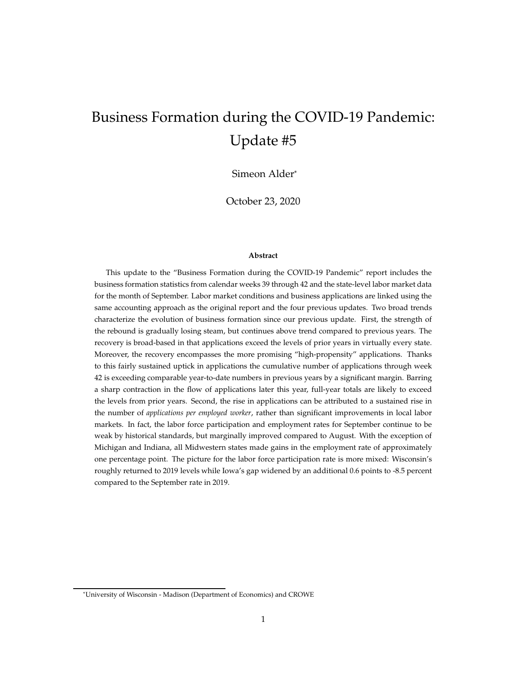# Business Formation during the COVID-19 Pandemic: Update #5

Simeon Alder\*

October 23, 2020

#### **Abstract**

This update to the "Business Formation during the COVID-19 Pandemic" report includes the business formation statistics from calendar weeks 39 through 42 and the state-level labor market data for the month of September. Labor market conditions and business applications are linked using the same accounting approach as the original report and the four previous updates. Two broad trends characterize the evolution of business formation since our previous update. First, the strength of the rebound is gradually losing steam, but continues above trend compared to previous years. The recovery is broad-based in that applications exceed the levels of prior years in virtually every state. Moreover, the recovery encompasses the more promising "high-propensity" applications. Thanks to this fairly sustained uptick in applications the cumulative number of applications through week 42 is exceeding comparable year-to-date numbers in previous years by a significant margin. Barring a sharp contraction in the flow of applications later this year, full-year totals are likely to exceed the levels from prior years. Second, the rise in applications can be attributed to a sustained rise in the number of *applications per employed worker*, rather than significant improvements in local labor markets. In fact, the labor force participation and employment rates for September continue to be weak by historical standards, but marginally improved compared to August. With the exception of Michigan and Indiana, all Midwestern states made gains in the employment rate of approximately one percentage point. The picture for the labor force participation rate is more mixed: Wisconsin's roughly returned to 2019 levels while Iowa's gap widened by an additional 0.6 points to -8.5 percent compared to the September rate in 2019.

<sup>\*</sup>University of Wisconsin - Madison (Department of Economics) and CROWE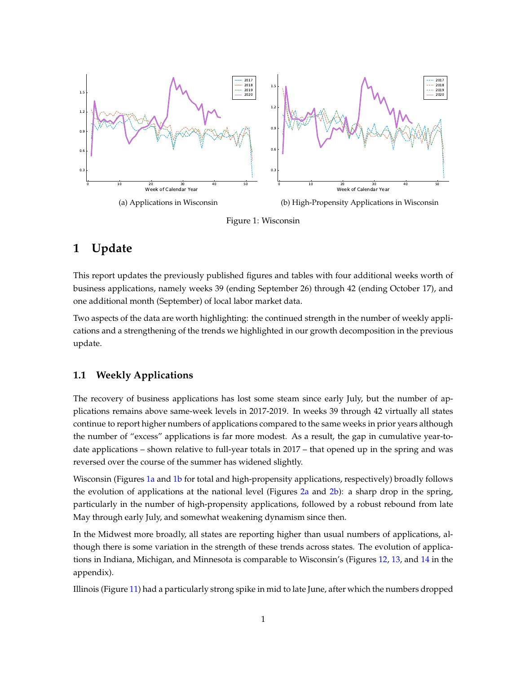<span id="page-1-0"></span>

Figure 1: Wisconsin

### **1 Update**

This report updates the previously published figures and tables with four additional weeks worth of business applications, namely weeks 39 (ending September 26) through 42 (ending October 17), and one additional month (September) of local labor market data.

Two aspects of the data are worth highlighting: the continued strength in the number of weekly applications and a strengthening of the trends we highlighted in our growth decomposition in the previous update.

#### **1.1 Weekly Applications**

The recovery of business applications has lost some steam since early July, but the number of applications remains above same-week levels in 2017-2019. In weeks 39 through 42 virtually all states continue to report higher numbers of applications compared to the same weeks in prior years although the number of "excess" applications is far more modest. As a result, the gap in cumulative year-todate applications – shown relative to full-year totals in 2017 – that opened up in the spring and was reversed over the course of the summer has widened slightly.

Wisconsin (Figures [1a](#page-1-0) and [1b](#page-1-0) for total and high-propensity applications, respectively) broadly follows the evolution of applications at the national level (Figures [2a](#page-2-0) and [2b\)](#page-2-0): a sharp drop in the spring, particularly in the number of high-propensity applications, followed by a robust rebound from late May through early July, and somewhat weakening dynamism since then.

In the Midwest more broadly, all states are reporting higher than usual numbers of applications, although there is some variation in the strength of these trends across states. The evolution of applications in Indiana, Michigan, and Minnesota is comparable to Wisconsin's (Figures [12,](#page-11-0) [13,](#page-11-1) and [14](#page-11-2) in the appendix).

Illinois (Figure [11\)](#page-10-0) had a particularly strong spike in mid to late June, after which the numbers dropped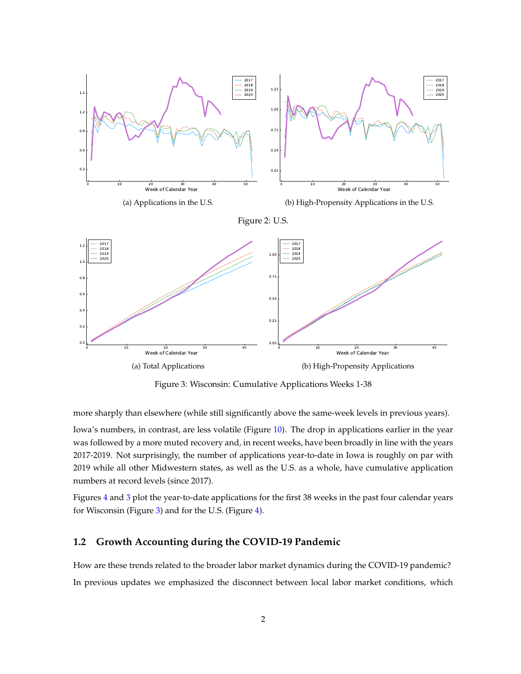<span id="page-2-1"></span><span id="page-2-0"></span>

Figure 3: Wisconsin: Cumulative Applications Weeks 1-38

more sharply than elsewhere (while still significantly above the same-week levels in previous years).

Iowa's numbers, in contrast, are less volatile (Figure [10\)](#page-10-1). The drop in applications earlier in the year was followed by a more muted recovery and, in recent weeks, have been broadly in line with the years 2017-2019. Not surprisingly, the number of applications year-to-date in Iowa is roughly on par with 2019 while all other Midwestern states, as well as the U.S. as a whole, have cumulative application numbers at record levels (since 2017).

Figures [4](#page-3-0) and [3](#page-2-1) plot the year-to-date applications for the first 38 weeks in the past four calendar years for Wisconsin (Figure [3\)](#page-2-1) and for the U.S. (Figure [4\)](#page-3-0).

#### **1.2 Growth Accounting during the COVID-19 Pandemic**

How are these trends related to the broader labor market dynamics during the COVID-19 pandemic? In previous updates we emphasized the disconnect between local labor market conditions, which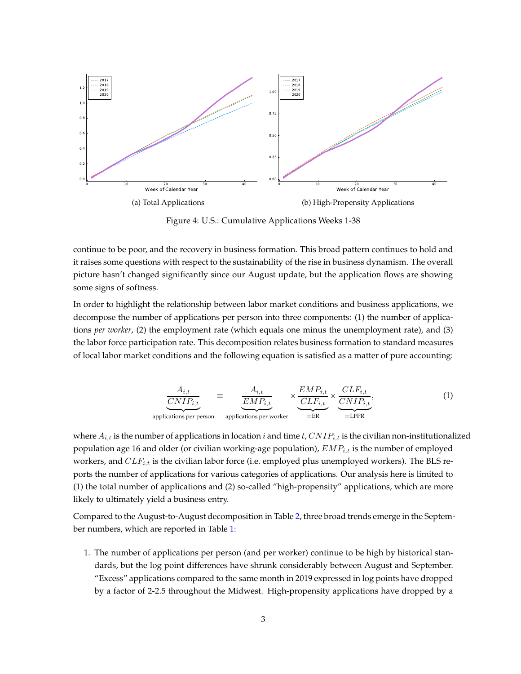<span id="page-3-0"></span>

Figure 4: U.S.: Cumulative Applications Weeks 1-38

continue to be poor, and the recovery in business formation. This broad pattern continues to hold and it raises some questions with respect to the sustainability of the rise in business dynamism. The overall picture hasn't changed significantly since our August update, but the application flows are showing some signs of softness.

In order to highlight the relationship between labor market conditions and business applications, we decompose the number of applications per person into three components: (1) the number of applications *per worker*, (2) the employment rate (which equals one minus the unemployment rate), and (3) the labor force participation rate. This decomposition relates business formation to standard measures of local labor market conditions and the following equation is satisfied as a matter of pure accounting:

$$
\underbrace{\frac{A_{i,t}}{CNIP_{i,t}}}_{\text{applications per person}} \equiv \underbrace{\frac{A_{i,t}}{EMP_{i,t}}}_{\text{applications per worker}} \times \underbrace{\frac{EMP_{i,t}}{CLF_{i,t}}}_{=ER} \times \underbrace{\frac{CLF_{i,t}}{CNIP_{i,t}}}_{=LFPR},\tag{1}
$$

where  $A_{i,t}$  is the number of applications in location i and time t,  $CNIP_{i,t}$  is the civilian non-institutionalized population age 16 and older (or civilian working-age population),  $EMP_{i,t}$  is the number of employed workers, and  $CLF_{i,t}$  is the civilian labor force (i.e. employed plus unemployed workers). The BLS reports the number of applications for various categories of applications. Our analysis here is limited to (1) the total number of applications and (2) so-called "high-propensity" applications, which are more likely to ultimately yield a business entry.

Compared to the August-to-August decomposition in Table [2,](#page-5-0) three broad trends emerge in the September numbers, which are reported in Table [1:](#page-5-1)

1. The number of applications per person (and per worker) continue to be high by historical standards, but the log point differences have shrunk considerably between August and September. "Excess" applications compared to the same month in 2019 expressed in log points have dropped by a factor of 2-2.5 throughout the Midwest. High-propensity applications have dropped by a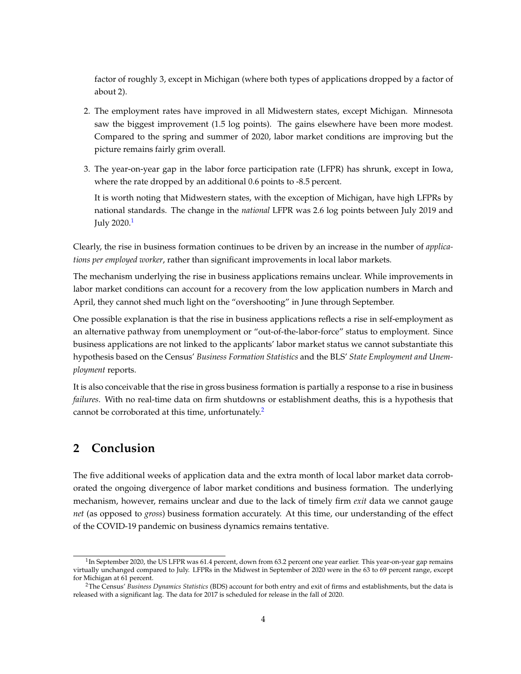factor of roughly 3, except in Michigan (where both types of applications dropped by a factor of about 2).

- 2. The employment rates have improved in all Midwestern states, except Michigan. Minnesota saw the biggest improvement (1.5 log points). The gains elsewhere have been more modest. Compared to the spring and summer of 2020, labor market conditions are improving but the picture remains fairly grim overall.
- 3. The year-on-year gap in the labor force participation rate (LFPR) has shrunk, except in Iowa, where the rate dropped by an additional 0.6 points to -8.5 percent.

It is worth noting that Midwestern states, with the exception of Michigan, have high LFPRs by national standards. The change in the *national* LFPR was 2.6 log points between July 2019 and July 2020.<sup>[1](#page-4-0)</sup>

Clearly, the rise in business formation continues to be driven by an increase in the number of *applications per employed worker*, rather than significant improvements in local labor markets.

The mechanism underlying the rise in business applications remains unclear. While improvements in labor market conditions can account for a recovery from the low application numbers in March and April, they cannot shed much light on the "overshooting" in June through September.

One possible explanation is that the rise in business applications reflects a rise in self-employment as an alternative pathway from unemployment or "out-of-the-labor-force" status to employment. Since business applications are not linked to the applicants' labor market status we cannot substantiate this hypothesis based on the Census' *Business Formation Statistics* and the BLS' *State Employment and Unemployment* reports.

It is also conceivable that the rise in gross business formation is partially a response to a rise in business *failures*. With no real-time data on firm shutdowns or establishment deaths, this is a hypothesis that cannot be corroborated at this time, unfortunately.<sup>[2](#page-4-1)</sup>

### **2 Conclusion**

The five additional weeks of application data and the extra month of local labor market data corroborated the ongoing divergence of labor market conditions and business formation. The underlying mechanism, however, remains unclear and due to the lack of timely firm *exit* data we cannot gauge *net* (as opposed to *gross*) business formation accurately. At this time, our understanding of the effect of the COVID-19 pandemic on business dynamics remains tentative.

<span id="page-4-0"></span><sup>&</sup>lt;sup>1</sup>In September 2020, the US LFPR was 61.4 percent, down from 63.2 percent one year earlier. This year-on-year gap remains virtually unchanged compared to July. LFPRs in the Midwest in September of 2020 were in the 63 to 69 percent range, except for Michigan at 61 percent.

<span id="page-4-1"></span><sup>2</sup>The Census' *Business Dynamics Statistics* (BDS) account for both entry and exit of firms and establishments, but the data is released with a significant lag. The data for 2017 is scheduled for release in the fall of 2020.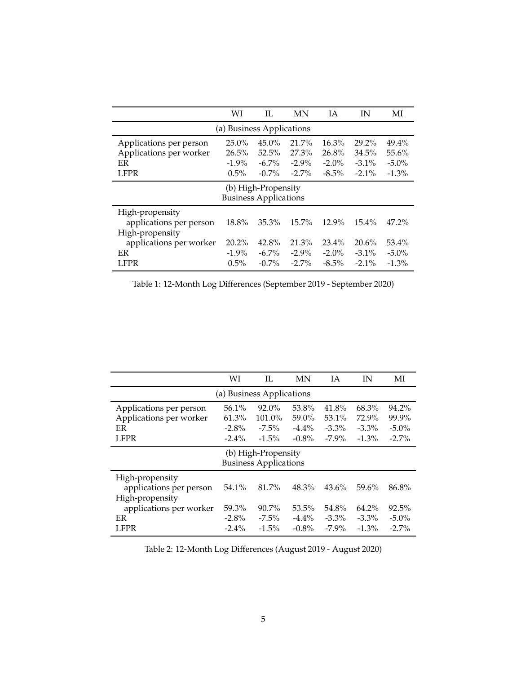<span id="page-5-1"></span>

|                           | WI       | IL.                          | MN       | <b>IA</b> | IN       | MI       |  |
|---------------------------|----------|------------------------------|----------|-----------|----------|----------|--|
| (a) Business Applications |          |                              |          |           |          |          |  |
| Applications per person   | $25.0\%$ | $45.0\%$                     | 21.7%    | 16.3%     | $29.2\%$ | 49.4%    |  |
| Applications per worker   | 26.5%    | 52.5%                        | 27.3%    | 26.8%     | 34.5%    | 55.6%    |  |
| ER                        | $-1.9\%$ | $-6.7\%$                     | $-2.9\%$ | $-2.0\%$  | $-3.1\%$ | $-5.0\%$ |  |
| <b>LFPR</b>               | 0.5%     | $-0.7\%$                     | $-2.7\%$ | $-8.5\%$  | $-2.1\%$ | $-1.3\%$ |  |
| (b) High-Propensity       |          |                              |          |           |          |          |  |
|                           |          | <b>Business Applications</b> |          |           |          |          |  |
| High-propensity           |          |                              |          |           |          |          |  |
| applications per person   | 18.8%    | 35.3%                        | $15.7\%$ | $12.9\%$  | $15.4\%$ | 47.2%    |  |
| High-propensity           |          |                              |          |           |          |          |  |
| applications per worker   | $20.2\%$ | 42.8%                        | 21.3%    | $23.4\%$  | 20.6%    | 53.4%    |  |
| ER                        | $-1.9\%$ | $-6.7\%$                     | $-2.9\%$ | $-2.0\%$  | $-3.1\%$ | $-5.0\%$ |  |
| LFPR                      | 0.5%     | $-0.7\%$                     | $-2.7\%$ | $-8.5\%$  | $-2.1\%$ | $-1.3\%$ |  |

Table 1: 12-Month Log Differences (September 2019 - September 2020)

<span id="page-5-0"></span>

|                                                     | WI       | IL.       | MN       | <b>IA</b> | IN       | МI       |  |
|-----------------------------------------------------|----------|-----------|----------|-----------|----------|----------|--|
| (a) Business Applications                           |          |           |          |           |          |          |  |
| Applications per person                             | 56.1%    | $92.0\%$  | 53.8%    | 41.8%     | 68.3%    | 94.2%    |  |
| Applications per worker                             | 61.3%    | $101.0\%$ | $59.0\%$ | $53.1\%$  | 72.9%    | 99.9%    |  |
| ER.                                                 | $-2.8\%$ | $-7.5\%$  | $-4.4\%$ | $-3.3\%$  | $-3.3\%$ | $-5.0\%$ |  |
| <b>LFPR</b>                                         | $-2.4\%$ | $-1.5\%$  | $-0.8\%$ | $-7.9\%$  | $-1.3\%$ | $-2.7\%$ |  |
| (b) High-Propensity<br><b>Business Applications</b> |          |           |          |           |          |          |  |
| High-propensity                                     |          |           |          |           |          |          |  |
| applications per person                             | 54.1%    | 81.7%     | 48.3%    | 43.6%     | 59.6%    | 86.8%    |  |
| High-propensity                                     |          |           |          |           |          |          |  |
| applications per worker                             | 59.3%    | $90.7\%$  | 53.5%    | 54.8%     | $64.2\%$ | 92.5%    |  |
| ER                                                  | $-2.8%$  | $-7.5\%$  | $-4.4\%$ | $-3.3\%$  | $-3.3\%$ | $-5.0\%$ |  |
| <b>LFPR</b>                                         | $-2.4\%$ | $-1.5\%$  | $-0.8\%$ | $-7.9\%$  | $-1.3\%$ | $-2.7\%$ |  |

Table 2: 12-Month Log Differences (August 2019 - August 2020)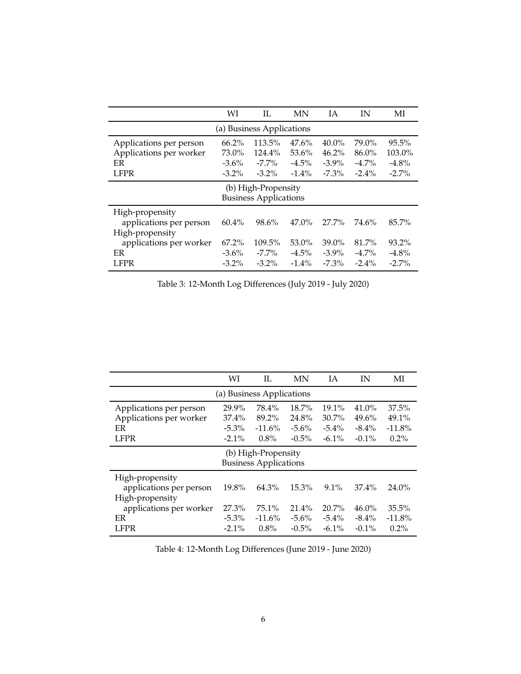|                           | WI       | IL                           | <b>MN</b> | <b>IA</b> | IN       | МI        |  |
|---------------------------|----------|------------------------------|-----------|-----------|----------|-----------|--|
| (a) Business Applications |          |                              |           |           |          |           |  |
| Applications per person   | $66.2\%$ | 113.5%                       | 47.6%     | $40.0\%$  | 79.0%    | $95.5\%$  |  |
| Applications per worker   | 73.0%    | 124.4%                       | 53.6%     | 46.2%     | $86.0\%$ | $103.0\%$ |  |
| FR.                       | $-3.6\%$ | $-7.7\%$                     | $-4.5\%$  | $-3.9\%$  | $-4.7\%$ | $-4.8\%$  |  |
| <b>LFPR</b>               | $-3.2\%$ | $-3.2\%$                     | $-1.4\%$  | $-7.3\%$  | $-2.4\%$ | $-2.7\%$  |  |
| (b) High-Propensity       |          |                              |           |           |          |           |  |
|                           |          | <b>Business Applications</b> |           |           |          |           |  |
| High-propensity           |          |                              |           |           |          |           |  |
| applications per person   | $60.4\%$ | 98.6%                        | $47.0\%$  | 27.7%     | 74.6%    | 85.7%     |  |
| High-propensity           |          |                              |           |           |          |           |  |
| applications per worker   | $67.2\%$ | 109.5%                       | 53.0%     | $39.0\%$  | 81.7%    | $93.2\%$  |  |
| ER                        | $-3.6\%$ | $-7.7\%$                     | $-4.5\%$  | $-3.9\%$  | $-4.7\%$ | $-4.8\%$  |  |
| LFPR.                     | $-3.2\%$ | $-3.2\%$                     | $-1.4\%$  | $-7.3\%$  | $-2.4\%$ | $-2.7\%$  |  |

Table 3: 12-Month Log Differences (July 2019 - July 2020)

|                                                     | WI       | IL        | MN       | <b>IA</b> | IN       | МI       |  |
|-----------------------------------------------------|----------|-----------|----------|-----------|----------|----------|--|
| (a) Business Applications                           |          |           |          |           |          |          |  |
| Applications per person                             | 29.9%    | 78.4%     | $18.7\%$ | $19.1\%$  | $41.0\%$ | 37.5%    |  |
| Applications per worker                             | $37.4\%$ | 89.2%     | 24.8%    | $30.7\%$  | 49.6%    | 49.1%    |  |
| ER                                                  | $-5.3\%$ | $-11.6\%$ | $-5.6\%$ | $-5.4\%$  | $-8.4\%$ | $-11.8%$ |  |
| <b>LFPR</b>                                         | $-2.1\%$ | 0.8%      | $-0.5\%$ | $-6.1\%$  | $-0.1\%$ | $0.2\%$  |  |
| (b) High-Propensity<br><b>Business Applications</b> |          |           |          |           |          |          |  |
| High-propensity                                     |          |           |          |           |          |          |  |
| applications per person                             | 19.8%    | 64.3%     | 15.3%    | $9.1\%$   | $37.4\%$ | $24.0\%$ |  |
| High-propensity                                     |          |           |          |           |          |          |  |
| applications per worker                             | 27.3%    | $75.1\%$  | 21.4%    | $20.7\%$  | $46.0\%$ | 35.5%    |  |
| ER                                                  | $-5.3\%$ | $-11.6%$  | $-5.6\%$ | $-5.4\%$  | $-8.4\%$ | $-11.8%$ |  |
| LFPR                                                | $-2.1\%$ | 0.8%      | $-0.5\%$ | $-6.1\%$  | $-0.1\%$ | $0.2\%$  |  |

Table 4: 12-Month Log Differences (June 2019 - June 2020)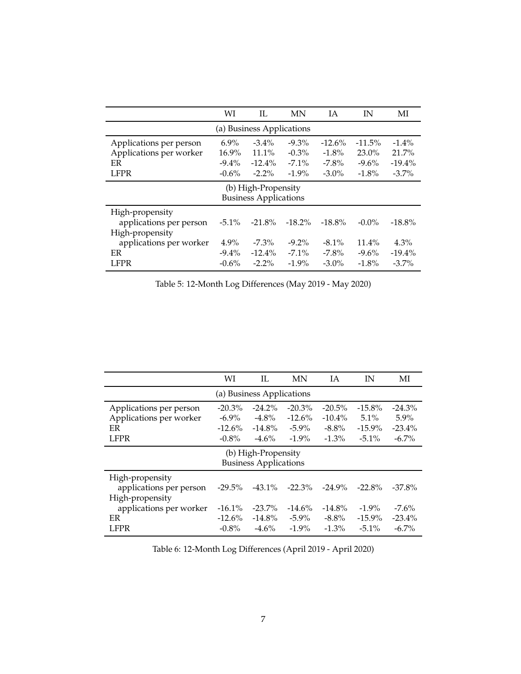|                                                                         | WI                                          | IL.                                           | MN                                           | <b>IA</b>                                     | IN                                          | MI                                         |  |
|-------------------------------------------------------------------------|---------------------------------------------|-----------------------------------------------|----------------------------------------------|-----------------------------------------------|---------------------------------------------|--------------------------------------------|--|
| (a) Business Applications                                               |                                             |                                               |                                              |                                               |                                             |                                            |  |
| Applications per person<br>Applications per worker<br>ER<br><b>LFPR</b> | $6.9\%$<br>$16.9\%$<br>$-9.4\%$<br>$-0.6\%$ | $-3.4\%$<br>$11.1\%$<br>$-12.4\%$<br>$-2.2\%$ | $-9.3\%$<br>$-0.3\%$<br>$-7.1\%$<br>$-1.9\%$ | $-12.6\%$<br>$-1.8\%$<br>$-7.8\%$<br>$-3.0\%$ | $-11.5%$<br>$23.0\%$<br>$-9.6%$<br>$-1.8\%$ | $-1.4\%$<br>21.7%<br>$-19.4\%$<br>$-3.7\%$ |  |
| (b) High-Propensity<br><b>Business Applications</b>                     |                                             |                                               |                                              |                                               |                                             |                                            |  |
| High-propensity<br>applications per person<br>High-propensity           | $-5.1\%$                                    | $-21.8%$                                      | $-18.2\%$                                    | $-18.8\%$                                     | $-0.0\%$                                    | $-18.8\%$                                  |  |
| applications per worker<br>ER<br><b>LFPR</b>                            | $4.9\%$<br>$-9.4\%$<br>$-0.6\%$             | $-7.3\%$<br>$-12.4\%$<br>$-2.2\%$             | $-9.2\%$<br>$-7.1\%$<br>$-1.9\%$             | $-8.1\%$<br>$-7.8\%$<br>$-3.0\%$              | $11.4\%$<br>$-9.6\%$<br>$-1.8\%$            | $4.3\%$<br>$-19.4\%$<br>$-3.7\%$           |  |

Table 5: 12-Month Log Differences (May 2019 - May 2020)

|                                                     | WI        | IL.       | MN        | IΑ        | IN        | MI        |  |  |
|-----------------------------------------------------|-----------|-----------|-----------|-----------|-----------|-----------|--|--|
| (a) Business Applications                           |           |           |           |           |           |           |  |  |
| Applications per person                             | $-20.3\%$ | $-24.2\%$ | $-20.3\%$ | $-20.5\%$ | $-15.8\%$ | $-24.3\%$ |  |  |
| Applications per worker                             | $-6.9\%$  | $-4.8\%$  | $-12.6\%$ | $-10.4\%$ | $5.1\%$   | $5.9\%$   |  |  |
| ER                                                  | $-12.6%$  | $-14.8\%$ | $-5.9\%$  | $-8.8\%$  | $-15.9\%$ | $-23.4\%$ |  |  |
| <b>LFPR</b>                                         | $-0.8\%$  | $-4.6\%$  | $-1.9\%$  | $-1.3\%$  | $-5.1\%$  | $-6.7\%$  |  |  |
| (b) High-Propensity<br><b>Business Applications</b> |           |           |           |           |           |           |  |  |
| High-propensity                                     |           |           |           |           |           |           |  |  |
| applications per person                             | $-29.5\%$ | $-43.1\%$ | $-22.3%$  | $-24.9\%$ | $-22.8%$  | $-37.8\%$ |  |  |
| High-propensity                                     |           |           |           |           |           |           |  |  |
| applications per worker                             | $-16.1\%$ | $-23.7\%$ | $-14.6\%$ | $-14.8\%$ | $-1.9\%$  | $-7.6\%$  |  |  |
| ER                                                  | $-12.6%$  | $-14.8\%$ | $-5.9\%$  | $-8.8\%$  | $-15.9\%$ | $-23.4\%$ |  |  |
| LFPR                                                | $-0.8\%$  | $-4.6\%$  | $-1.9\%$  | $-1.3\%$  | $-5.1\%$  | $-6.7\%$  |  |  |

Table 6: 12-Month Log Differences (April 2019 - April 2020)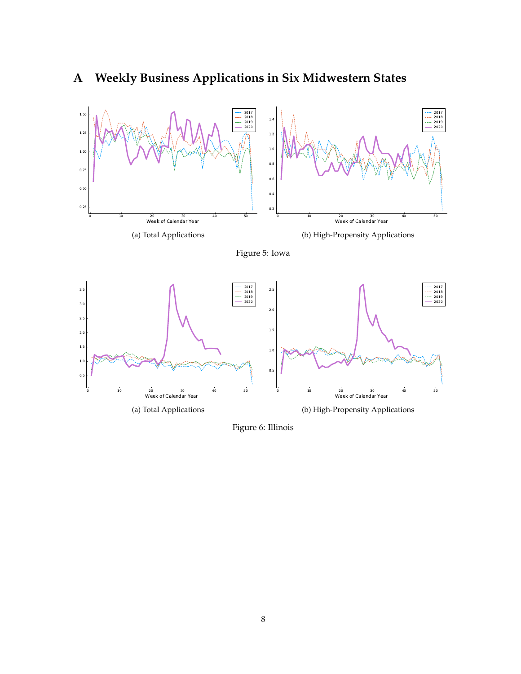

## **A Weekly Business Applications in Six Midwestern States**

Figure 6: Illinois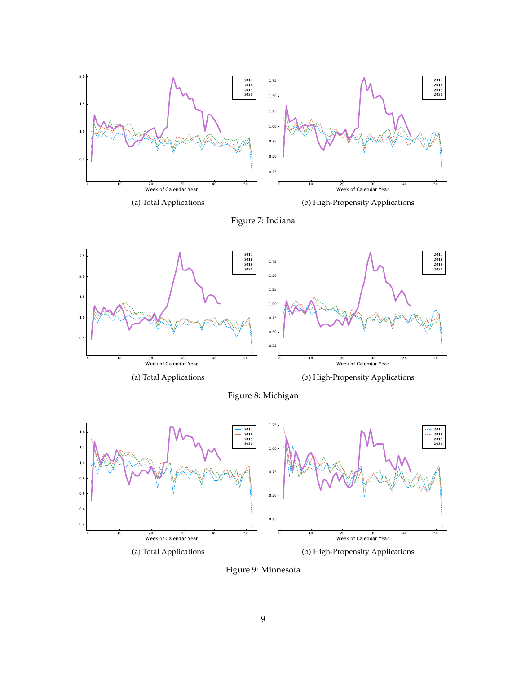





Figure 8: Michigan



Figure 9: Minnesota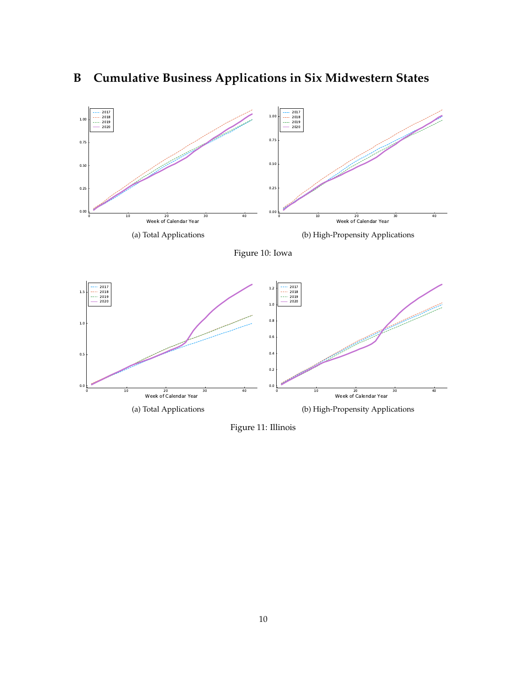<span id="page-10-1"></span><span id="page-10-0"></span>

## **B Cumulative Business Applications in Six Midwestern States**

Figure 11: Illinois